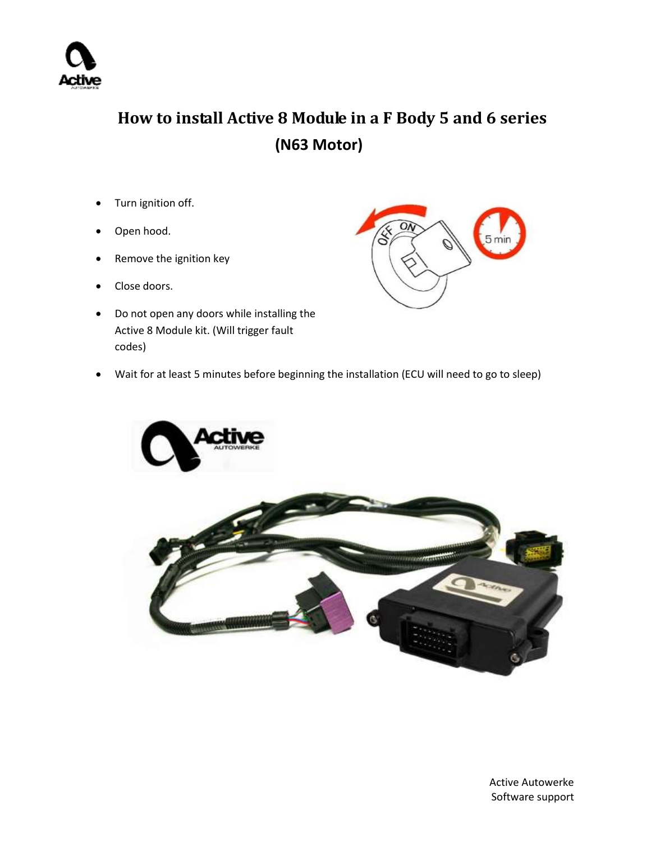

 **How to install Active 8 Module in a F Body 5 and 6 series (N63 Motor)**

- Turn ignition off.
- Open hood.
- Remove the ignition key
- Close doors.
- Do not open any doors while installing the Active 8 Module kit. (Will trigger fault codes)



Wait for at least 5 minutes before beginning the installation (ECU will need to go to sleep)



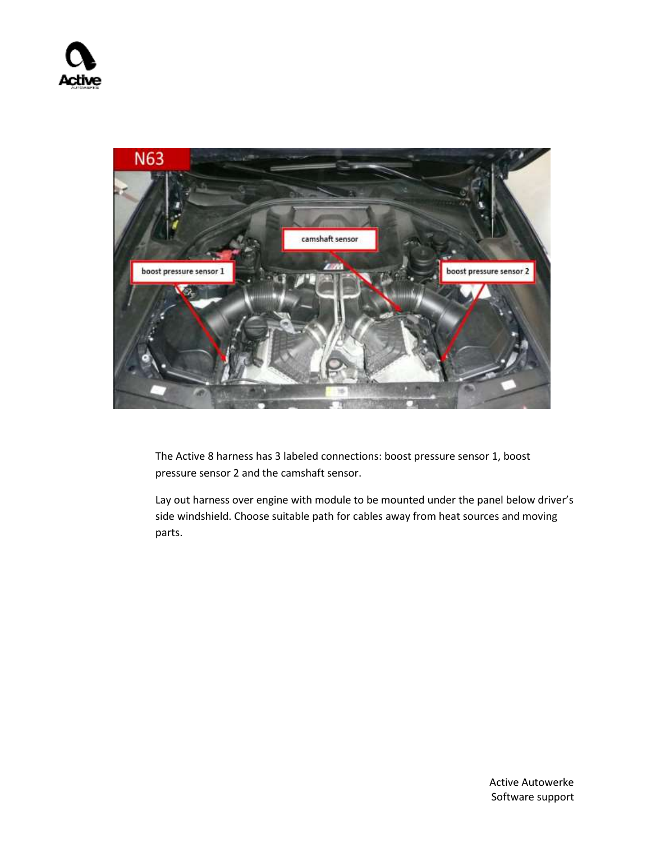

The Active 8 harness has 3 labeled connections: boost pressure sensor 1, boost pressure sensor 2 and the camshaft sensor.

Lay out harness over engine with module to be mounted under the panel below driver's side windshield. Choose suitable path for cables away from heat sources and moving parts.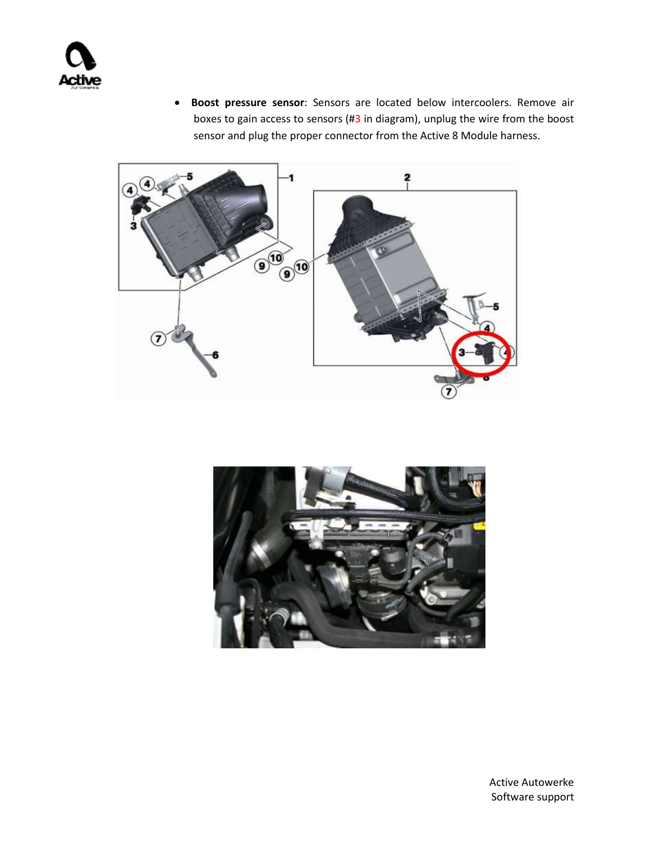

 **Boost pressure sensor**: Sensors are located below intercoolers. Remove air boxes to gain access to sensors (#3 in diagram), unplug the wire from the boost sensor and plug the proper connector from the Active 8 Module harness.



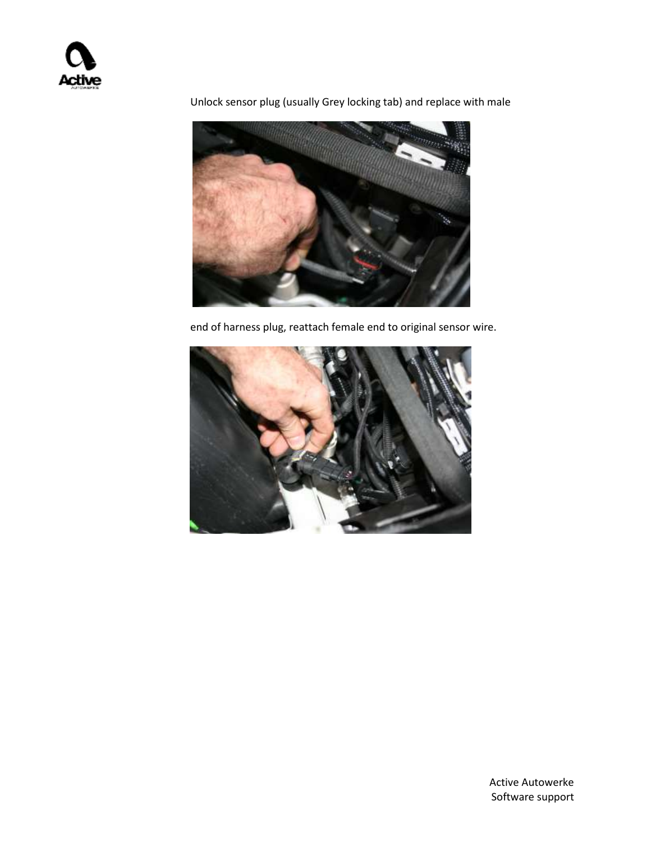

Unlock sensor plug (usually Grey locking tab) and replace with male

end of harness plug, reattach female end to original sensor wire.

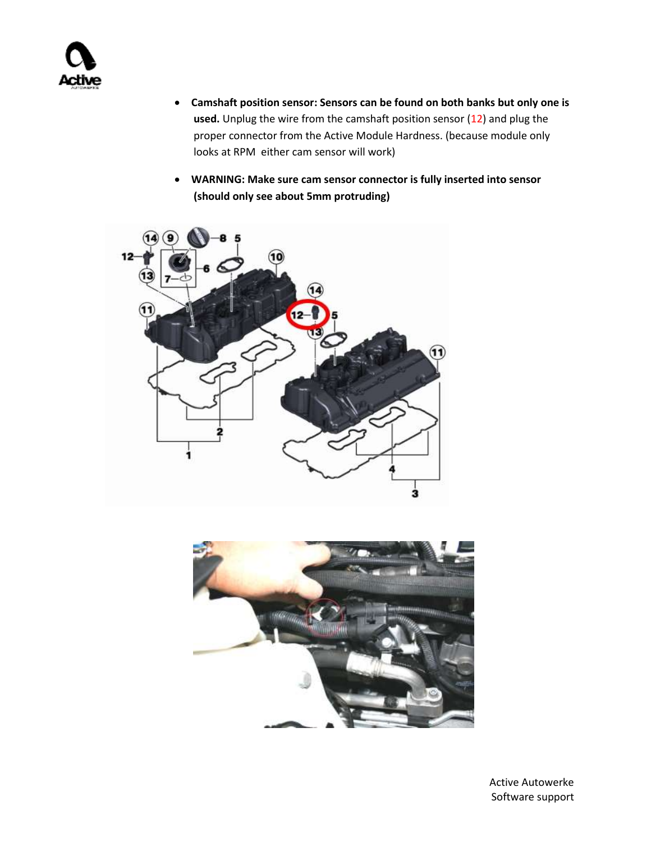

- **Camshaft position sensor: Sensors can be found on both banks but only one is**  used. Unplug the wire from the camshaft position sensor (12) and plug the proper connector from the Active Module Hardness. (because module only looks at RPM either cam sensor will work)
- **WARNING: Make sure cam sensor connector is fully inserted into sensor (should only see about 5mm protruding)**



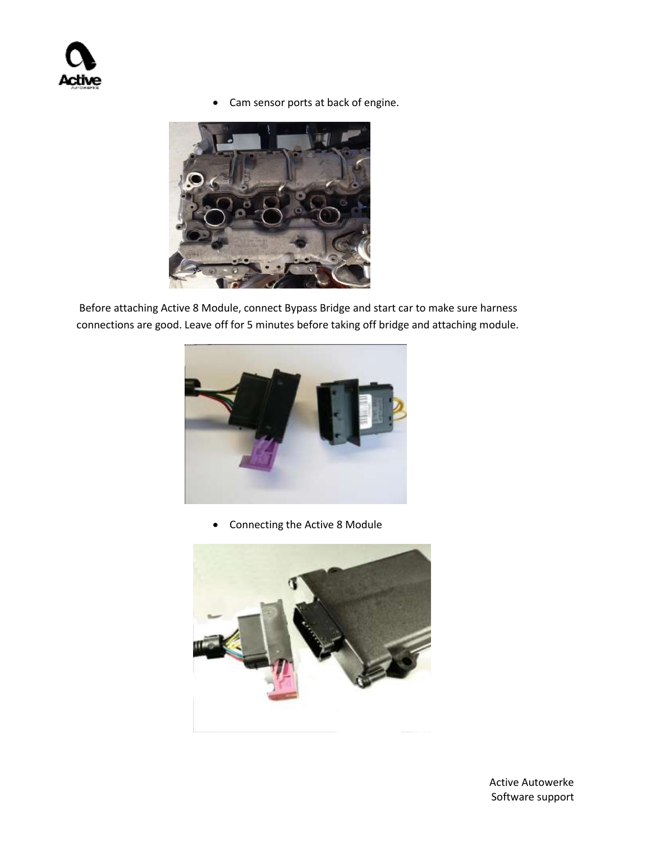Cam sensor ports at back of engine.



Before attaching Active 8 Module, connect Bypass Bridge and start car to make sure harness connections are good. Leave off for 5 minutes before taking off bridge and attaching module.



Connecting the Active 8 Module

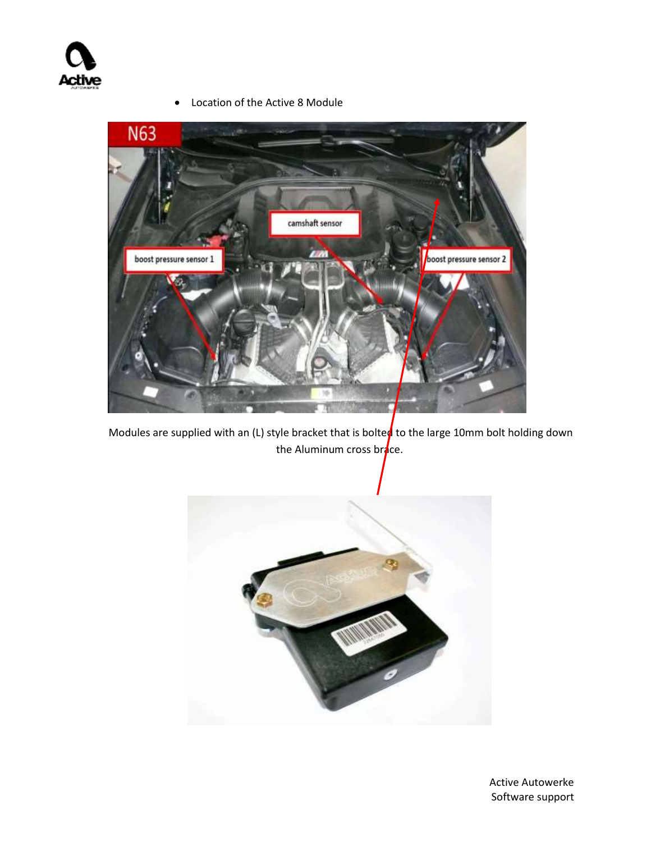

- **N63** camshaft sensor **TIM** boost pressure sensor 2 boost pressure sensor 1
- Location of the Active 8 Module

Modules are supplied with an (L) style bracket that is bolted to the large 10mm bolt holding down the Aluminum cross brace.